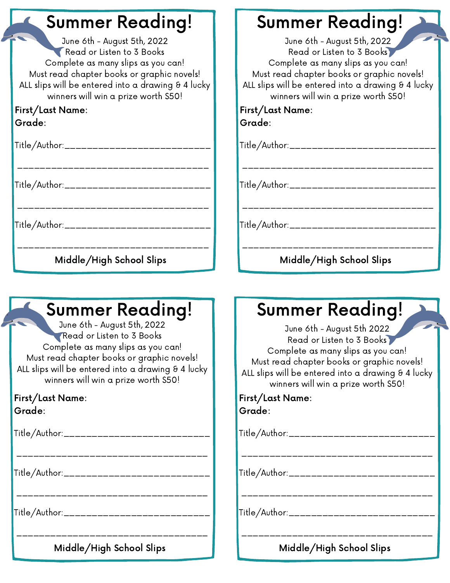## Summer Reading!

June 6th - August 5th, 2022 Read or Listen to 3 Books Complete as many slips as you can! Must read chapter books or graphic novels! ALL slips will be entered into a drawing & 4 lucky winners will win a prize worth \$50!

#### First/Last Name: Grade:

| Title/Author:___________________________                                                                        |
|-----------------------------------------------------------------------------------------------------------------|
| Title/Author:___________________________                                                                        |
| Title/Author:____________________________                                                                       |
| the contract of the contract of the contract of the contract of the contract of the contract of the contract of |

Middle/High School Slips

## Summer Reading!

June 6th - August 5th, 2022 Read or Listen to 3 Books Complete as many slips as you can! Must read chapter books or graphic novels! ALL slips will be entered into a drawing  $\theta$  4 lucky winners will win a prize worth \$50!

First/Last Name: Grade:

Title/Author:\_\_\_\_\_\_\_\_\_\_\_\_\_\_\_\_\_\_\_\_\_\_\_\_\_\_

\_\_\_\_\_\_\_\_\_\_\_\_\_\_\_\_\_\_\_\_\_\_\_\_\_\_\_\_\_\_\_\_\_\_

\_\_\_\_\_\_\_\_\_\_\_\_\_\_\_\_\_\_\_\_\_\_\_\_\_\_\_\_\_\_\_\_\_\_

Title/Author:\_\_\_\_\_\_\_\_\_\_\_\_\_\_\_\_\_\_\_\_\_\_\_\_\_\_\_

Title/Author:\_\_\_\_\_\_\_\_\_\_\_\_\_\_\_\_\_\_\_\_\_\_\_\_\_\_

\_\_\_\_\_\_\_\_\_\_\_\_\_\_\_\_\_\_\_\_\_\_\_\_\_\_\_\_\_\_\_\_\_\_ Middle/High School Slips

# Summer Reading!

June 6th - August 5th, 2022 Read or Listen to 3 Books Complete as many slips as you can! Must read chapter books or graphic novels! ALL slips will be entered into a drawing  $\theta$  4 lucky winners will win a prize worth \$50!

First/Last Name: Grade:

Title/Author:\_\_\_\_\_\_\_\_\_\_\_\_\_\_\_\_\_\_\_\_\_\_\_\_\_\_

\_\_\_\_\_\_\_\_\_\_\_\_\_\_\_\_\_\_\_\_\_\_\_\_\_\_\_\_\_\_\_\_\_\_

Title/Author:\_\_\_\_\_\_\_\_\_\_\_\_\_\_\_\_\_\_\_\_\_\_\_\_\_\_

Title/Author:\_\_\_\_\_\_\_\_\_\_\_\_\_\_\_\_\_\_\_\_\_\_\_\_\_\_

Middle/High School Slips

\_\_\_\_\_\_\_\_\_\_\_\_\_\_\_\_\_\_\_\_\_\_\_\_\_\_\_\_\_\_\_\_\_\_

\_\_\_\_\_\_\_\_\_\_\_\_\_\_\_\_\_\_\_\_\_\_\_\_\_\_\_\_\_\_\_\_\_\_

# Summer Reading!

June 6th - August 5th 2022 Read or Listen to 3 Books Complete as many slips as you can! Must read chapter books or graphic novels! ALL slips will be entered into a drawing  $\theta$  4 lucky winners will win a prize worth \$50!

First/Last Name: Grade:

Title/Author:\_\_\_\_\_\_\_\_\_\_\_\_\_\_\_\_\_\_\_\_\_\_\_\_\_\_

\_\_\_\_\_\_\_\_\_\_\_\_\_\_\_\_\_\_\_\_\_\_\_\_\_\_\_\_\_\_\_\_\_\_

\_\_\_\_\_\_\_\_\_\_\_\_\_\_\_\_\_\_\_\_\_\_\_\_\_\_\_\_\_\_\_\_\_\_

Title/Author:\_\_\_\_\_\_\_\_\_\_\_\_\_\_\_\_\_\_\_\_\_\_\_\_\_

Title/Author:\_\_\_\_\_\_\_\_\_\_\_\_\_\_\_\_\_\_\_\_\_\_\_\_\_\_

Middle/High School Slips

\_\_\_\_\_\_\_\_\_\_\_\_\_\_\_\_\_\_\_\_\_\_\_\_\_\_\_\_\_\_\_\_\_\_